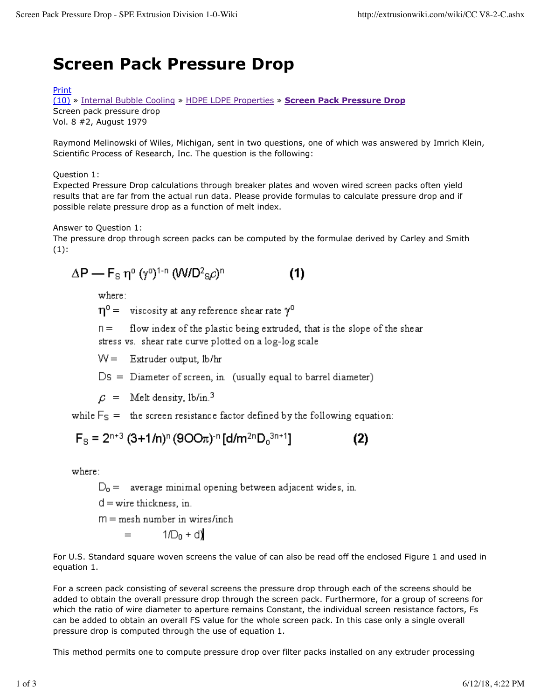## **Screen Pack Pressure Drop**

## Print

(10) » Internal Bubble Cooling » HDPE LDPE Properties » **Screen Pack Pressure Drop** Screen pack pressure drop Vol. 8 #2, August 1979

Raymond Melinowski of Wiles, Michigan, sent in two questions, one of which was answered by Imrich Klein, Scientific Process of Research, Inc. The question is the following:

Question 1:

Expected Pressure Drop calculations through breaker plates and woven wired screen packs often yield results that are far from the actual run data. Please provide formulas to calculate pressure drop and if possible relate pressure drop as a function of melt index.

Answer to Question 1:

The pressure drop through screen packs can be computed by the formulae derived by Carley and Smith  $(1):$ 

$$
\Delta P = F_{\rm S} \eta^{\rm o} \left( \gamma^{\rm o} \right)^{1-n} \left( \mathsf{W}/\mathsf{D}^2 {\rm S} \rho \right)^n \tag{1}
$$

where:

 $\eta^0$  = viscosity at any reference shear rate  $\gamma^0$ 

 $n =$ flow index of the plastic being extruded, that is the slope of the shear stress vs. shear rate curve plotted on a log-log scale

 $W =$  Extruder output, lb/hr

 $Ds = Diameter of screen, in.$  (usually equal to barrel diameter)

 $\mathcal{L}$  = Melt density, 1b/in.<sup>3</sup>

while  $F_S$  = the screen resistance factor defined by the following equation:

$$
F_{\rm S} = 2^{n+3} (3+1/n)^n (900\pi)^{-n} \left[ d/m^{2n} D_0^{3n+1} \right]
$$
 (2)

where:

 $D_0$  = average minimal opening between adjacent wides, in.

 $d =$  wire thickness, in.

 $m =$  mesh number in wires/inch

 $1/D_n + d$  $=$ 

For U.S. Standard square woven screens the value of can also be read off the enclosed Figure 1 and used in equation 1.

For a screen pack consisting of several screens the pressure drop through each of the screens should be added to obtain the overall pressure drop through the screen pack. Furthermore, for a group of screens for which the ratio of wire diameter to aperture remains Constant, the individual screen resistance factors, Fs can be added to obtain an overall FS value for the whole screen pack. In this case only a single overall pressure drop is computed through the use of equation 1.

This method permits one to compute pressure drop over filter packs installed on any extruder processing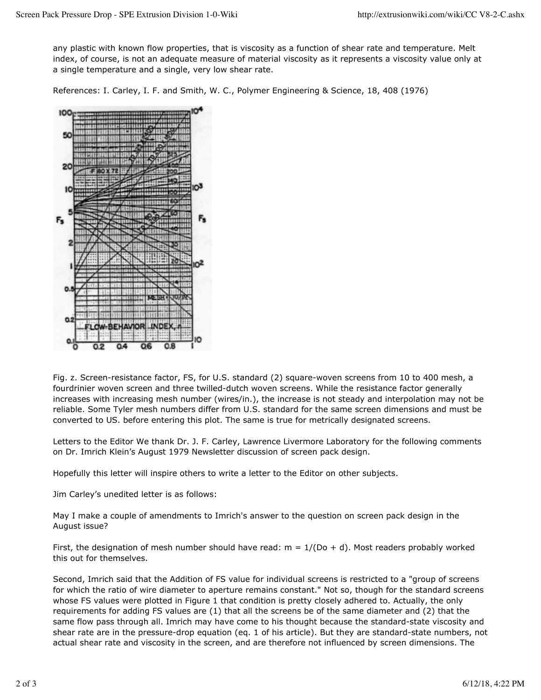any plastic with known flow properties, that is viscosity as a function of shear rate and temperature. Melt index, of course, is not an adequate measure of material viscosity as it represents a viscosity value only at a single temperature and a single, very low shear rate.

References: I. Carley, I. F. and Smith, W. C., Polymer Engineering & Science, 18, 408 (1976)



Fig. z. Screen-resistance factor, FS, for U.S. standard (2) square-woven screens from 10 to 400 mesh, a fourdrinier woven screen and three twilled-dutch woven screens. While the resistance factor generally increases with increasing mesh number (wires/in.), the increase is not steady and interpolation may not be reliable. Some Tyler mesh numbers differ from U.S. standard for the same screen dimensions and must be converted to US. before entering this plot. The same is true for metrically designated screens.

Letters to the Editor We thank Dr. J. F. Carley, Lawrence Livermore Laboratory for the following comments on Dr. Imrich Klein's August 1979 Newsletter discussion of screen pack design.

Hopefully this letter will inspire others to write a letter to the Editor on other subjects.

Jim Carley's unedited letter is as follows:

May I make a couple of amendments to Imrich's answer to the question on screen pack design in the August issue?

First, the designation of mesh number should have read:  $m = 1/(Do + d)$ . Most readers probably worked this out for themselves.

Second, Imrich said that the Addition of FS value for individual screens is restricted to a "group of screens for which the ratio of wire diameter to aperture remains constant." Not so, though for the standard screens whose FS values were plotted in Figure 1 that condition is pretty closely adhered to. Actually, the only requirements for adding FS values are (1) that all the screens be of the same diameter and (2) that the same flow pass through all. Imrich may have come to his thought because the standard-state viscosity and shear rate are in the pressure-drop equation (eq. 1 of his article). But they are standard-state numbers, not actual shear rate and viscosity in the screen, and are therefore not influenced by screen dimensions. The